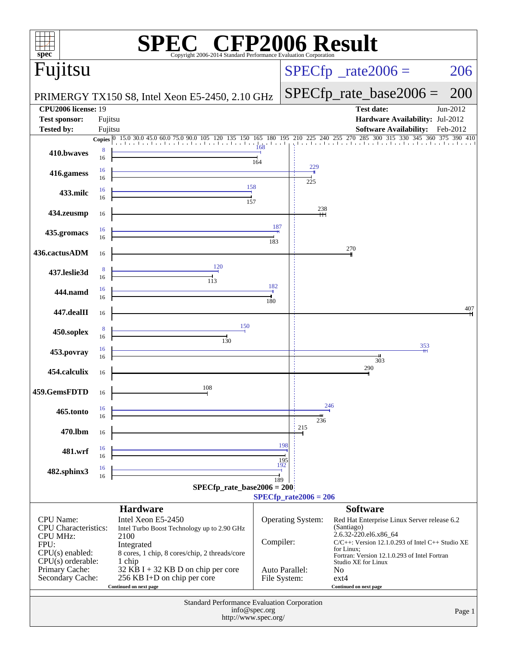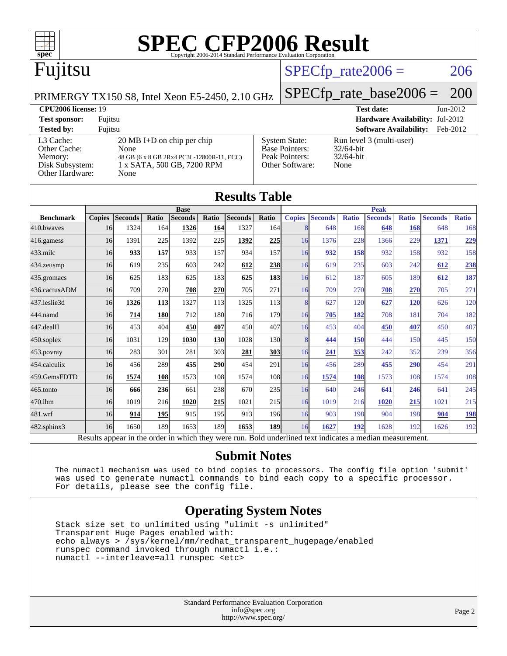

## Fujitsu

### $SPECTp_rate2006 = 206$

PRIMERGY TX150 S8, Intel Xeon E5-2450, 2.10 GHz

[SPECfp\\_rate\\_base2006 =](http://www.spec.org/auto/cpu2006/Docs/result-fields.html#SPECfpratebase2006) 200

#### **[CPU2006 license:](http://www.spec.org/auto/cpu2006/Docs/result-fields.html#CPU2006license)** 19 **[Test date:](http://www.spec.org/auto/cpu2006/Docs/result-fields.html#Testdate)** Jun-2012 **[Test sponsor:](http://www.spec.org/auto/cpu2006/Docs/result-fields.html#Testsponsor)** Fujitsu **[Hardware Availability:](http://www.spec.org/auto/cpu2006/Docs/result-fields.html#HardwareAvailability)** Jul-2012 **[Tested by:](http://www.spec.org/auto/cpu2006/Docs/result-fields.html#Testedby)** Fujitsu **[Software Availability:](http://www.spec.org/auto/cpu2006/Docs/result-fields.html#SoftwareAvailability)** Feb-2012 [L3 Cache:](http://www.spec.org/auto/cpu2006/Docs/result-fields.html#L3Cache) 20 MB I+D on chip per chip<br>Other Cache: None [Other Cache:](http://www.spec.org/auto/cpu2006/Docs/result-fields.html#OtherCache) [Memory:](http://www.spec.org/auto/cpu2006/Docs/result-fields.html#Memory) 48 GB (6 x 8 GB 2Rx4 PC3L-12800R-11, ECC) [Disk Subsystem:](http://www.spec.org/auto/cpu2006/Docs/result-fields.html#DiskSubsystem) 1 x SATA, 500 GB, 7200 RPM [Other Hardware:](http://www.spec.org/auto/cpu2006/Docs/result-fields.html#OtherHardware) None [System State:](http://www.spec.org/auto/cpu2006/Docs/result-fields.html#SystemState) Run level 3 (multi-user)<br>Base Pointers: 32/64-bit [Base Pointers:](http://www.spec.org/auto/cpu2006/Docs/result-fields.html#BasePointers) [Peak Pointers:](http://www.spec.org/auto/cpu2006/Docs/result-fields.html#PeakPointers) 32/64-bit [Other Software:](http://www.spec.org/auto/cpu2006/Docs/result-fields.html#OtherSoftware) None

|                   |               |                                                                                                          |            |                |                  | <b>Results Table</b> |                 |               |                |              |                |              |                |              |
|-------------------|---------------|----------------------------------------------------------------------------------------------------------|------------|----------------|------------------|----------------------|-----------------|---------------|----------------|--------------|----------------|--------------|----------------|--------------|
|                   | <b>Base</b>   |                                                                                                          |            |                |                  |                      |                 | <b>Peak</b>   |                |              |                |              |                |              |
| <b>Benchmark</b>  | <b>Copies</b> | <b>Seconds</b>                                                                                           | Ratio      | <b>Seconds</b> | Ratio            | <b>Seconds</b>       | Ratio           | <b>Copies</b> | <b>Seconds</b> | <b>Ratio</b> | <b>Seconds</b> | <b>Ratio</b> | <b>Seconds</b> | <b>Ratio</b> |
| 410.bwayes        | 16            | 1324                                                                                                     | 164        | 1326           | <b>164</b>       | 1327                 | 164             | 8             | 648            | 168          | 648            | 168          | 648            | 168          |
| $416$ .gamess     | 16            | 1391                                                                                                     | 225        | 1392           | 225              | 1392                 | 225             | 16            | 1376           | 228          | 1366           | 229          | 1371           | 229          |
| $433$ .milc       | 16            | 933                                                                                                      | 157        | 933            | 157              | 934                  | 157             | 16            | 932            | 158          | 932            | 158          | 932            | 158          |
| $434$ . zeusmp    | 16            | 619                                                                                                      | 235        | 603            | 242              | 612                  | 238             | 16            | 619            | 235          | 603            | 242          | 612            | 238          |
| 435.gromacs       | 16            | 625                                                                                                      | 183        | 625            | 183              | 625                  | 183             | 16            | 612            | 187          | 605            | 189          | 612            | 187          |
| 436.cactusADM     | 16            | 709                                                                                                      | 270        | 708            | 270              | 705                  | 271             | 16            | 709            | 270          | 708            | 270          | 705            | 271          |
| 437.leslie3d      | 16            | 1326                                                                                                     | <b>113</b> | 1327           | 113              | 1325                 | 113             | 8             | 627            | 120          | 627            | <b>120</b>   | 626            | 120          |
| 444.namd          | 16            | 714                                                                                                      | 180        | 712            | 180              | 716                  | <b>179</b>      | 16            | 705            | 182          | 708            | 181          | 704            | 182          |
| $447$ .dealII     | 16            | 453                                                                                                      | 404        | 450            | 407              | 450                  | 407             | 16            | 453            | 404          | 450            | 407          | 450            | 407          |
| $450$ .soplex     | 16            | 1031                                                                                                     | 129        | 1030           | <b>130</b>       | 1028                 | 130             | 8             | 444            | 150          | 444            | 150          | 445            | 150          |
| $453$ .povray     | 16            | 283                                                                                                      | 301        | 281            | 303              | 281                  | <b>303</b>      | 16            | 241            | 353          | 242            | 352          | 239            | 356          |
| 454.calculix      | 16            | 456                                                                                                      | 289        | 455            | 290              | 454                  | 291             | 16            | 456            | 289          | 455            | 290          | 454            | 291          |
| 459.GemsFDTD      | 16            | 1574                                                                                                     | 108        | 1573           | 108              | 1574                 | 10 <sub>8</sub> | 16            | 1574           | 108          | 1573           | 108          | 1574           | 108          |
| 465.tonto         | 16            | 666                                                                                                      | 236        | 661            | 238l             | 670                  | 235             | 16            | 640            | 246          | 641            | 246          | 641            | 245          |
| 470.1bm           | 16            | 1019                                                                                                     | 216        | 1020           | 215              | 1021                 | 215             | 16            | 1019           | 216          | 1020           | 215          | 1021           | 215          |
| 481.wrf           | 16            | 914                                                                                                      | 195        | 915            | 195 <sup>I</sup> | 913                  | 196             | 16            | 903            | 198          | 904            | 198          | 904            | <b>198</b>   |
| $482$ .sphinx $3$ | 16            | 1650                                                                                                     | 189        | 1653           | 189              | 1653                 | <b>189</b>      | 16            | 1627           | 192          | 1628           | 192          | 1626           | 192          |
|                   |               | Results appear in the order in which they were run. Bold underlined text indicates a median measurement. |            |                |                  |                      |                 |               |                |              |                |              |                |              |

#### **[Submit Notes](http://www.spec.org/auto/cpu2006/Docs/result-fields.html#SubmitNotes)**

 The numactl mechanism was used to bind copies to processors. The config file option 'submit' was used to generate numactl commands to bind each copy to a specific processor. For details, please see the config file.

### **[Operating System Notes](http://www.spec.org/auto/cpu2006/Docs/result-fields.html#OperatingSystemNotes)**

 Stack size set to unlimited using "ulimit -s unlimited" Transparent Huge Pages enabled with: echo always > /sys/kernel/mm/redhat\_transparent\_hugepage/enabled runspec command invoked through numactl i.e.: numactl --interleave=all runspec <etc>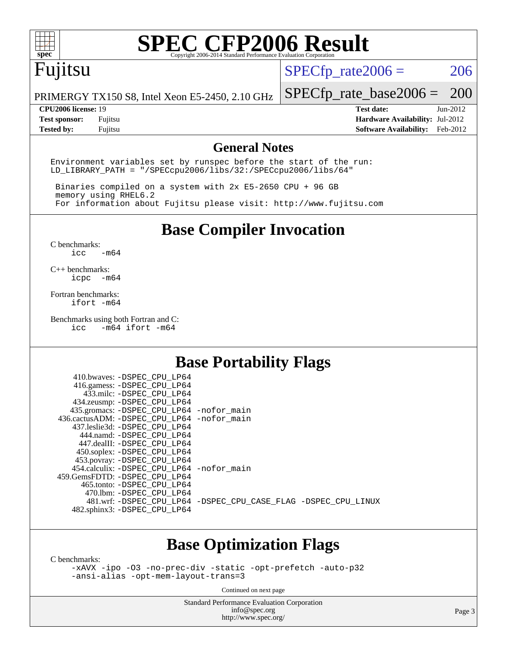

## Fujitsu

 $SPECTp_rate2006 = 206$ 

PRIMERGY TX150 S8, Intel Xeon E5-2450, 2.10 GHz

#### **[CPU2006 license:](http://www.spec.org/auto/cpu2006/Docs/result-fields.html#CPU2006license)** 19 **[Test date:](http://www.spec.org/auto/cpu2006/Docs/result-fields.html#Testdate)** Jun-2012

[SPECfp\\_rate\\_base2006 =](http://www.spec.org/auto/cpu2006/Docs/result-fields.html#SPECfpratebase2006) 200

**[Test sponsor:](http://www.spec.org/auto/cpu2006/Docs/result-fields.html#Testsponsor)** Fujitsu **[Hardware Availability:](http://www.spec.org/auto/cpu2006/Docs/result-fields.html#HardwareAvailability)** Jul-2012 **[Tested by:](http://www.spec.org/auto/cpu2006/Docs/result-fields.html#Testedby)** Fujitsu **[Software Availability:](http://www.spec.org/auto/cpu2006/Docs/result-fields.html#SoftwareAvailability)** Feb-2012

#### **[General Notes](http://www.spec.org/auto/cpu2006/Docs/result-fields.html#GeneralNotes)**

Environment variables set by runspec before the start of the run: LD\_LIBRARY\_PATH = "/SPECcpu2006/libs/32:/SPECcpu2006/libs/64"

 Binaries compiled on a system with 2x E5-2650 CPU + 96 GB memory using RHEL6.2 For information about Fujitsu please visit: <http://www.fujitsu.com>

**[Base Compiler Invocation](http://www.spec.org/auto/cpu2006/Docs/result-fields.html#BaseCompilerInvocation)**

[C benchmarks](http://www.spec.org/auto/cpu2006/Docs/result-fields.html#Cbenchmarks):  $\text{icc}$   $-\text{m64}$ 

[C++ benchmarks:](http://www.spec.org/auto/cpu2006/Docs/result-fields.html#CXXbenchmarks) [icpc -m64](http://www.spec.org/cpu2006/results/res2012q3/cpu2006-20120810-24095.flags.html#user_CXXbase_intel_icpc_64bit_bedb90c1146cab66620883ef4f41a67e)

[Fortran benchmarks](http://www.spec.org/auto/cpu2006/Docs/result-fields.html#Fortranbenchmarks): [ifort -m64](http://www.spec.org/cpu2006/results/res2012q3/cpu2006-20120810-24095.flags.html#user_FCbase_intel_ifort_64bit_ee9d0fb25645d0210d97eb0527dcc06e)

[Benchmarks using both Fortran and C](http://www.spec.org/auto/cpu2006/Docs/result-fields.html#BenchmarksusingbothFortranandC):<br>icc -m64 ifort -m64  $-m64$  ifort  $-m64$ 

### **[Base Portability Flags](http://www.spec.org/auto/cpu2006/Docs/result-fields.html#BasePortabilityFlags)**

| 410.bwaves: -DSPEC CPU LP64                  |                                                                |
|----------------------------------------------|----------------------------------------------------------------|
| 416.gamess: -DSPEC_CPU_LP64                  |                                                                |
| 433.milc: -DSPEC CPU LP64                    |                                                                |
| 434.zeusmp: - DSPEC CPU LP64                 |                                                                |
| 435.gromacs: -DSPEC_CPU_LP64 -nofor_main     |                                                                |
| 436.cactusADM: - DSPEC CPU LP64 - nofor main |                                                                |
| 437.leslie3d: -DSPEC CPU LP64                |                                                                |
| 444.namd: -DSPEC CPU LP64                    |                                                                |
| 447.dealII: -DSPEC CPU LP64                  |                                                                |
| 450.soplex: -DSPEC_CPU_LP64                  |                                                                |
| 453.povray: -DSPEC_CPU_LP64                  |                                                                |
| 454.calculix: - DSPEC CPU LP64 - nofor main  |                                                                |
| 459.GemsFDTD: - DSPEC_CPU LP64               |                                                                |
| 465.tonto: - DSPEC CPU LP64                  |                                                                |
| 470.1bm: - DSPEC CPU LP64                    |                                                                |
|                                              | 481.wrf: -DSPEC_CPU_LP64 -DSPEC_CPU_CASE_FLAG -DSPEC_CPU_LINUX |
| 482.sphinx3: -DSPEC_CPU_LP64                 |                                                                |
|                                              |                                                                |

### **[Base Optimization Flags](http://www.spec.org/auto/cpu2006/Docs/result-fields.html#BaseOptimizationFlags)**

[C benchmarks](http://www.spec.org/auto/cpu2006/Docs/result-fields.html#Cbenchmarks):

[-xAVX](http://www.spec.org/cpu2006/results/res2012q3/cpu2006-20120810-24095.flags.html#user_CCbase_f-xAVX) [-ipo](http://www.spec.org/cpu2006/results/res2012q3/cpu2006-20120810-24095.flags.html#user_CCbase_f-ipo) [-O3](http://www.spec.org/cpu2006/results/res2012q3/cpu2006-20120810-24095.flags.html#user_CCbase_f-O3) [-no-prec-div](http://www.spec.org/cpu2006/results/res2012q3/cpu2006-20120810-24095.flags.html#user_CCbase_f-no-prec-div) [-static](http://www.spec.org/cpu2006/results/res2012q3/cpu2006-20120810-24095.flags.html#user_CCbase_f-static) [-opt-prefetch](http://www.spec.org/cpu2006/results/res2012q3/cpu2006-20120810-24095.flags.html#user_CCbase_f-opt-prefetch) [-auto-p32](http://www.spec.org/cpu2006/results/res2012q3/cpu2006-20120810-24095.flags.html#user_CCbase_f-auto-p32) [-ansi-alias](http://www.spec.org/cpu2006/results/res2012q3/cpu2006-20120810-24095.flags.html#user_CCbase_f-ansi-alias) [-opt-mem-layout-trans=3](http://www.spec.org/cpu2006/results/res2012q3/cpu2006-20120810-24095.flags.html#user_CCbase_f-opt-mem-layout-trans_a7b82ad4bd7abf52556d4961a2ae94d5)

Continued on next page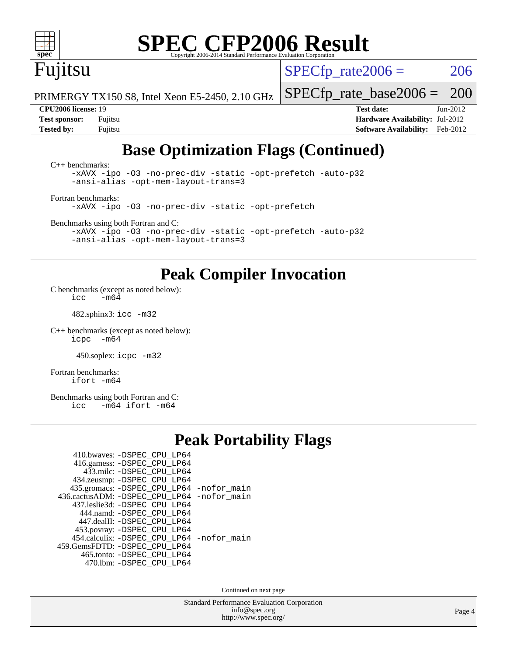Fujitsu

 $SPECTp\_rate2006 = 206$ 

[SPECfp\\_rate\\_base2006 =](http://www.spec.org/auto/cpu2006/Docs/result-fields.html#SPECfpratebase2006) 200

PRIMERGY TX150 S8, Intel Xeon E5-2450, 2.10 GHz

**[CPU2006 license:](http://www.spec.org/auto/cpu2006/Docs/result-fields.html#CPU2006license)** 19 **[Test date:](http://www.spec.org/auto/cpu2006/Docs/result-fields.html#Testdate)** Jun-2012 **[Test sponsor:](http://www.spec.org/auto/cpu2006/Docs/result-fields.html#Testsponsor)** Fujitsu **[Hardware Availability:](http://www.spec.org/auto/cpu2006/Docs/result-fields.html#HardwareAvailability)** Jul-2012 **[Tested by:](http://www.spec.org/auto/cpu2006/Docs/result-fields.html#Testedby)** Fujitsu **[Software Availability:](http://www.spec.org/auto/cpu2006/Docs/result-fields.html#SoftwareAvailability)** Feb-2012

### **[Base Optimization Flags \(Continued\)](http://www.spec.org/auto/cpu2006/Docs/result-fields.html#BaseOptimizationFlags)**

[C++ benchmarks:](http://www.spec.org/auto/cpu2006/Docs/result-fields.html#CXXbenchmarks) [-xAVX](http://www.spec.org/cpu2006/results/res2012q3/cpu2006-20120810-24095.flags.html#user_CXXbase_f-xAVX) [-ipo](http://www.spec.org/cpu2006/results/res2012q3/cpu2006-20120810-24095.flags.html#user_CXXbase_f-ipo) [-O3](http://www.spec.org/cpu2006/results/res2012q3/cpu2006-20120810-24095.flags.html#user_CXXbase_f-O3) [-no-prec-div](http://www.spec.org/cpu2006/results/res2012q3/cpu2006-20120810-24095.flags.html#user_CXXbase_f-no-prec-div) [-static](http://www.spec.org/cpu2006/results/res2012q3/cpu2006-20120810-24095.flags.html#user_CXXbase_f-static) [-opt-prefetch](http://www.spec.org/cpu2006/results/res2012q3/cpu2006-20120810-24095.flags.html#user_CXXbase_f-opt-prefetch) [-auto-p32](http://www.spec.org/cpu2006/results/res2012q3/cpu2006-20120810-24095.flags.html#user_CXXbase_f-auto-p32) [-ansi-alias](http://www.spec.org/cpu2006/results/res2012q3/cpu2006-20120810-24095.flags.html#user_CXXbase_f-ansi-alias) [-opt-mem-layout-trans=3](http://www.spec.org/cpu2006/results/res2012q3/cpu2006-20120810-24095.flags.html#user_CXXbase_f-opt-mem-layout-trans_a7b82ad4bd7abf52556d4961a2ae94d5) [Fortran benchmarks](http://www.spec.org/auto/cpu2006/Docs/result-fields.html#Fortranbenchmarks):

[-xAVX](http://www.spec.org/cpu2006/results/res2012q3/cpu2006-20120810-24095.flags.html#user_FCbase_f-xAVX) [-ipo](http://www.spec.org/cpu2006/results/res2012q3/cpu2006-20120810-24095.flags.html#user_FCbase_f-ipo) [-O3](http://www.spec.org/cpu2006/results/res2012q3/cpu2006-20120810-24095.flags.html#user_FCbase_f-O3) [-no-prec-div](http://www.spec.org/cpu2006/results/res2012q3/cpu2006-20120810-24095.flags.html#user_FCbase_f-no-prec-div) [-static](http://www.spec.org/cpu2006/results/res2012q3/cpu2006-20120810-24095.flags.html#user_FCbase_f-static) [-opt-prefetch](http://www.spec.org/cpu2006/results/res2012q3/cpu2006-20120810-24095.flags.html#user_FCbase_f-opt-prefetch)

[Benchmarks using both Fortran and C](http://www.spec.org/auto/cpu2006/Docs/result-fields.html#BenchmarksusingbothFortranandC):

[-xAVX](http://www.spec.org/cpu2006/results/res2012q3/cpu2006-20120810-24095.flags.html#user_CC_FCbase_f-xAVX) [-ipo](http://www.spec.org/cpu2006/results/res2012q3/cpu2006-20120810-24095.flags.html#user_CC_FCbase_f-ipo) [-O3](http://www.spec.org/cpu2006/results/res2012q3/cpu2006-20120810-24095.flags.html#user_CC_FCbase_f-O3) [-no-prec-div](http://www.spec.org/cpu2006/results/res2012q3/cpu2006-20120810-24095.flags.html#user_CC_FCbase_f-no-prec-div) [-static](http://www.spec.org/cpu2006/results/res2012q3/cpu2006-20120810-24095.flags.html#user_CC_FCbase_f-static) [-opt-prefetch](http://www.spec.org/cpu2006/results/res2012q3/cpu2006-20120810-24095.flags.html#user_CC_FCbase_f-opt-prefetch) [-auto-p32](http://www.spec.org/cpu2006/results/res2012q3/cpu2006-20120810-24095.flags.html#user_CC_FCbase_f-auto-p32) [-ansi-alias](http://www.spec.org/cpu2006/results/res2012q3/cpu2006-20120810-24095.flags.html#user_CC_FCbase_f-ansi-alias) [-opt-mem-layout-trans=3](http://www.spec.org/cpu2006/results/res2012q3/cpu2006-20120810-24095.flags.html#user_CC_FCbase_f-opt-mem-layout-trans_a7b82ad4bd7abf52556d4961a2ae94d5)

### **[Peak Compiler Invocation](http://www.spec.org/auto/cpu2006/Docs/result-fields.html#PeakCompilerInvocation)**

[C benchmarks \(except as noted below\)](http://www.spec.org/auto/cpu2006/Docs/result-fields.html#Cbenchmarksexceptasnotedbelow): icc  $-m6\overline{4}$ 

482.sphinx3: [icc -m32](http://www.spec.org/cpu2006/results/res2012q3/cpu2006-20120810-24095.flags.html#user_peakCCLD482_sphinx3_intel_icc_a6a621f8d50482236b970c6ac5f55f93)

[C++ benchmarks \(except as noted below\):](http://www.spec.org/auto/cpu2006/Docs/result-fields.html#CXXbenchmarksexceptasnotedbelow) [icpc -m64](http://www.spec.org/cpu2006/results/res2012q3/cpu2006-20120810-24095.flags.html#user_CXXpeak_intel_icpc_64bit_bedb90c1146cab66620883ef4f41a67e)

450.soplex: [icpc -m32](http://www.spec.org/cpu2006/results/res2012q3/cpu2006-20120810-24095.flags.html#user_peakCXXLD450_soplex_intel_icpc_4e5a5ef1a53fd332b3c49e69c3330699)

[Fortran benchmarks](http://www.spec.org/auto/cpu2006/Docs/result-fields.html#Fortranbenchmarks): [ifort -m64](http://www.spec.org/cpu2006/results/res2012q3/cpu2006-20120810-24095.flags.html#user_FCpeak_intel_ifort_64bit_ee9d0fb25645d0210d97eb0527dcc06e)

[Benchmarks using both Fortran and C](http://www.spec.org/auto/cpu2006/Docs/result-fields.html#BenchmarksusingbothFortranandC): [icc -m64](http://www.spec.org/cpu2006/results/res2012q3/cpu2006-20120810-24095.flags.html#user_CC_FCpeak_intel_icc_64bit_0b7121f5ab7cfabee23d88897260401c) [ifort -m64](http://www.spec.org/cpu2006/results/res2012q3/cpu2006-20120810-24095.flags.html#user_CC_FCpeak_intel_ifort_64bit_ee9d0fb25645d0210d97eb0527dcc06e)

### **[Peak Portability Flags](http://www.spec.org/auto/cpu2006/Docs/result-fields.html#PeakPortabilityFlags)**

| 410.bwaves: - DSPEC_CPU_LP64<br>416.gamess: -DSPEC_CPU_LP64 |  |
|-------------------------------------------------------------|--|
| 433.milc: -DSPEC CPU LP64                                   |  |
| 434.zeusmp: -DSPEC_CPU_LP64                                 |  |
| 435.gromacs: -DSPEC_CPU_LP64 -nofor_main                    |  |
| 436.cactusADM: -DSPEC CPU LP64 -nofor main                  |  |
| 437.leslie3d: -DSPEC CPU LP64                               |  |
| 444.namd: - DSPEC CPU LP64                                  |  |
| 447.dealII: -DSPEC CPU LP64                                 |  |
| 453.povray: -DSPEC_CPU_LP64                                 |  |
| 454.calculix: -DSPEC_CPU_LP64 -nofor_main                   |  |
| 459. GemsFDTD: - DSPEC CPU LP64                             |  |
| 465.tonto: -DSPEC_CPU LP64                                  |  |
| 470.1bm: - DSPEC CPU LP64                                   |  |

Continued on next page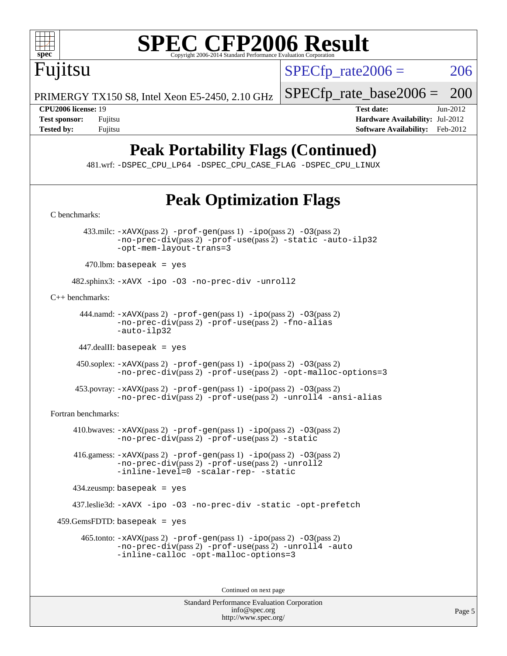

 $SPECTp\_rate2006 = 206$ 

[SPECfp\\_rate\\_base2006 =](http://www.spec.org/auto/cpu2006/Docs/result-fields.html#SPECfpratebase2006) 200

PRIMERGY TX150 S8, Intel Xeon E5-2450, 2.10 GHz

Fujitsu

**[CPU2006 license:](http://www.spec.org/auto/cpu2006/Docs/result-fields.html#CPU2006license)** 19 **[Test date:](http://www.spec.org/auto/cpu2006/Docs/result-fields.html#Testdate)** Jun-2012 **[Test sponsor:](http://www.spec.org/auto/cpu2006/Docs/result-fields.html#Testsponsor)** Fujitsu **[Hardware Availability:](http://www.spec.org/auto/cpu2006/Docs/result-fields.html#HardwareAvailability)** Jul-2012 **[Tested by:](http://www.spec.org/auto/cpu2006/Docs/result-fields.html#Testedby)** Fujitsu **Fugital Example 2012 [Software Availability:](http://www.spec.org/auto/cpu2006/Docs/result-fields.html#SoftwareAvailability)** Feb-2012

### **[Peak Portability Flags \(Continued\)](http://www.spec.org/auto/cpu2006/Docs/result-fields.html#PeakPortabilityFlags)**

481.wrf: [-DSPEC\\_CPU\\_LP64](http://www.spec.org/cpu2006/results/res2012q3/cpu2006-20120810-24095.flags.html#suite_peakPORTABILITY481_wrf_DSPEC_CPU_LP64) [-DSPEC\\_CPU\\_CASE\\_FLAG](http://www.spec.org/cpu2006/results/res2012q3/cpu2006-20120810-24095.flags.html#b481.wrf_peakCPORTABILITY_DSPEC_CPU_CASE_FLAG) [-DSPEC\\_CPU\\_LINUX](http://www.spec.org/cpu2006/results/res2012q3/cpu2006-20120810-24095.flags.html#b481.wrf_peakCPORTABILITY_DSPEC_CPU_LINUX)

### **[Peak Optimization Flags](http://www.spec.org/auto/cpu2006/Docs/result-fields.html#PeakOptimizationFlags)**

[info@spec.org](mailto:info@spec.org) <http://www.spec.org/>

Standard Performance Evaluation Corporation [C benchmarks](http://www.spec.org/auto/cpu2006/Docs/result-fields.html#Cbenchmarks): 433.milc: [-xAVX](http://www.spec.org/cpu2006/results/res2012q3/cpu2006-20120810-24095.flags.html#user_peakPASS2_CFLAGSPASS2_LDFLAGS433_milc_f-xAVX)(pass 2) [-prof-gen](http://www.spec.org/cpu2006/results/res2012q3/cpu2006-20120810-24095.flags.html#user_peakPASS1_CFLAGSPASS1_LDFLAGS433_milc_prof_gen_e43856698f6ca7b7e442dfd80e94a8fc)(pass 1) [-ipo](http://www.spec.org/cpu2006/results/res2012q3/cpu2006-20120810-24095.flags.html#user_peakPASS2_CFLAGSPASS2_LDFLAGS433_milc_f-ipo)(pass 2) [-O3](http://www.spec.org/cpu2006/results/res2012q3/cpu2006-20120810-24095.flags.html#user_peakPASS2_CFLAGSPASS2_LDFLAGS433_milc_f-O3)(pass 2) [-no-prec-div](http://www.spec.org/cpu2006/results/res2012q3/cpu2006-20120810-24095.flags.html#user_peakPASS2_CFLAGSPASS2_LDFLAGS433_milc_f-no-prec-div)(pass 2) [-prof-use](http://www.spec.org/cpu2006/results/res2012q3/cpu2006-20120810-24095.flags.html#user_peakPASS2_CFLAGSPASS2_LDFLAGS433_milc_prof_use_bccf7792157ff70d64e32fe3e1250b55)(pass 2) [-static](http://www.spec.org/cpu2006/results/res2012q3/cpu2006-20120810-24095.flags.html#user_peakOPTIMIZE433_milc_f-static) [-auto-ilp32](http://www.spec.org/cpu2006/results/res2012q3/cpu2006-20120810-24095.flags.html#user_peakCOPTIMIZE433_milc_f-auto-ilp32) [-opt-mem-layout-trans=3](http://www.spec.org/cpu2006/results/res2012q3/cpu2006-20120810-24095.flags.html#user_peakCOPTIMIZE433_milc_f-opt-mem-layout-trans_a7b82ad4bd7abf52556d4961a2ae94d5)  $470$ .lbm: basepeak = yes 482.sphinx3: [-xAVX](http://www.spec.org/cpu2006/results/res2012q3/cpu2006-20120810-24095.flags.html#user_peakOPTIMIZE482_sphinx3_f-xAVX) [-ipo](http://www.spec.org/cpu2006/results/res2012q3/cpu2006-20120810-24095.flags.html#user_peakOPTIMIZE482_sphinx3_f-ipo) [-O3](http://www.spec.org/cpu2006/results/res2012q3/cpu2006-20120810-24095.flags.html#user_peakOPTIMIZE482_sphinx3_f-O3) [-no-prec-div](http://www.spec.org/cpu2006/results/res2012q3/cpu2006-20120810-24095.flags.html#user_peakOPTIMIZE482_sphinx3_f-no-prec-div) [-unroll2](http://www.spec.org/cpu2006/results/res2012q3/cpu2006-20120810-24095.flags.html#user_peakCOPTIMIZE482_sphinx3_f-unroll_784dae83bebfb236979b41d2422d7ec2) [C++ benchmarks:](http://www.spec.org/auto/cpu2006/Docs/result-fields.html#CXXbenchmarks) 444.namd:  $-x$ AVX(pass 2)  $-p$ rof-gen(pass 1)  $-p$ po(pass 2)  $-03$ (pass 2) [-no-prec-div](http://www.spec.org/cpu2006/results/res2012q3/cpu2006-20120810-24095.flags.html#user_peakPASS2_CXXFLAGSPASS2_LDFLAGS444_namd_f-no-prec-div)(pass 2) [-prof-use](http://www.spec.org/cpu2006/results/res2012q3/cpu2006-20120810-24095.flags.html#user_peakPASS2_CXXFLAGSPASS2_LDFLAGS444_namd_prof_use_bccf7792157ff70d64e32fe3e1250b55)(pass 2) [-fno-alias](http://www.spec.org/cpu2006/results/res2012q3/cpu2006-20120810-24095.flags.html#user_peakCXXOPTIMIZE444_namd_f-no-alias_694e77f6c5a51e658e82ccff53a9e63a) [-auto-ilp32](http://www.spec.org/cpu2006/results/res2012q3/cpu2006-20120810-24095.flags.html#user_peakCXXOPTIMIZE444_namd_f-auto-ilp32) 447.dealII: basepeak = yes 450.soplex: [-xAVX](http://www.spec.org/cpu2006/results/res2012q3/cpu2006-20120810-24095.flags.html#user_peakPASS2_CXXFLAGSPASS2_LDFLAGS450_soplex_f-xAVX)(pass 2) [-prof-gen](http://www.spec.org/cpu2006/results/res2012q3/cpu2006-20120810-24095.flags.html#user_peakPASS1_CXXFLAGSPASS1_LDFLAGS450_soplex_prof_gen_e43856698f6ca7b7e442dfd80e94a8fc)(pass 1) [-ipo](http://www.spec.org/cpu2006/results/res2012q3/cpu2006-20120810-24095.flags.html#user_peakPASS2_CXXFLAGSPASS2_LDFLAGS450_soplex_f-ipo)(pass 2) [-O3](http://www.spec.org/cpu2006/results/res2012q3/cpu2006-20120810-24095.flags.html#user_peakPASS2_CXXFLAGSPASS2_LDFLAGS450_soplex_f-O3)(pass 2) [-no-prec-div](http://www.spec.org/cpu2006/results/res2012q3/cpu2006-20120810-24095.flags.html#user_peakPASS2_CXXFLAGSPASS2_LDFLAGS450_soplex_f-no-prec-div)(pass 2) [-prof-use](http://www.spec.org/cpu2006/results/res2012q3/cpu2006-20120810-24095.flags.html#user_peakPASS2_CXXFLAGSPASS2_LDFLAGS450_soplex_prof_use_bccf7792157ff70d64e32fe3e1250b55)(pass 2) [-opt-malloc-options=3](http://www.spec.org/cpu2006/results/res2012q3/cpu2006-20120810-24095.flags.html#user_peakOPTIMIZE450_soplex_f-opt-malloc-options_13ab9b803cf986b4ee62f0a5998c2238) 453.povray: [-xAVX](http://www.spec.org/cpu2006/results/res2012q3/cpu2006-20120810-24095.flags.html#user_peakPASS2_CXXFLAGSPASS2_LDFLAGS453_povray_f-xAVX)(pass 2) [-prof-gen](http://www.spec.org/cpu2006/results/res2012q3/cpu2006-20120810-24095.flags.html#user_peakPASS1_CXXFLAGSPASS1_LDFLAGS453_povray_prof_gen_e43856698f6ca7b7e442dfd80e94a8fc)(pass 1) [-ipo](http://www.spec.org/cpu2006/results/res2012q3/cpu2006-20120810-24095.flags.html#user_peakPASS2_CXXFLAGSPASS2_LDFLAGS453_povray_f-ipo)(pass 2) [-O3](http://www.spec.org/cpu2006/results/res2012q3/cpu2006-20120810-24095.flags.html#user_peakPASS2_CXXFLAGSPASS2_LDFLAGS453_povray_f-O3)(pass 2) [-no-prec-div](http://www.spec.org/cpu2006/results/res2012q3/cpu2006-20120810-24095.flags.html#user_peakPASS2_CXXFLAGSPASS2_LDFLAGS453_povray_f-no-prec-div)(pass 2) [-prof-use](http://www.spec.org/cpu2006/results/res2012q3/cpu2006-20120810-24095.flags.html#user_peakPASS2_CXXFLAGSPASS2_LDFLAGS453_povray_prof_use_bccf7792157ff70d64e32fe3e1250b55)(pass 2) [-unroll4](http://www.spec.org/cpu2006/results/res2012q3/cpu2006-20120810-24095.flags.html#user_peakCXXOPTIMIZE453_povray_f-unroll_4e5e4ed65b7fd20bdcd365bec371b81f) [-ansi-alias](http://www.spec.org/cpu2006/results/res2012q3/cpu2006-20120810-24095.flags.html#user_peakCXXOPTIMIZE453_povray_f-ansi-alias) [Fortran benchmarks](http://www.spec.org/auto/cpu2006/Docs/result-fields.html#Fortranbenchmarks): 410.bwaves:  $-xAUX(pass 2)$  -prof-qen(pass 1) [-ipo](http://www.spec.org/cpu2006/results/res2012q3/cpu2006-20120810-24095.flags.html#user_peakPASS2_FFLAGSPASS2_LDFLAGS410_bwaves_f-ipo)(pass 2) [-O3](http://www.spec.org/cpu2006/results/res2012q3/cpu2006-20120810-24095.flags.html#user_peakPASS2_FFLAGSPASS2_LDFLAGS410_bwaves_f-O3)(pass 2) [-no-prec-div](http://www.spec.org/cpu2006/results/res2012q3/cpu2006-20120810-24095.flags.html#user_peakPASS2_FFLAGSPASS2_LDFLAGS410_bwaves_f-no-prec-div)(pass 2) [-prof-use](http://www.spec.org/cpu2006/results/res2012q3/cpu2006-20120810-24095.flags.html#user_peakPASS2_FFLAGSPASS2_LDFLAGS410_bwaves_prof_use_bccf7792157ff70d64e32fe3e1250b55)(pass 2) [-static](http://www.spec.org/cpu2006/results/res2012q3/cpu2006-20120810-24095.flags.html#user_peakOPTIMIZE410_bwaves_f-static) 416.gamess: [-xAVX](http://www.spec.org/cpu2006/results/res2012q3/cpu2006-20120810-24095.flags.html#user_peakPASS2_FFLAGSPASS2_LDFLAGS416_gamess_f-xAVX)(pass 2) [-prof-gen](http://www.spec.org/cpu2006/results/res2012q3/cpu2006-20120810-24095.flags.html#user_peakPASS1_FFLAGSPASS1_LDFLAGS416_gamess_prof_gen_e43856698f6ca7b7e442dfd80e94a8fc)(pass 1) [-ipo](http://www.spec.org/cpu2006/results/res2012q3/cpu2006-20120810-24095.flags.html#user_peakPASS2_FFLAGSPASS2_LDFLAGS416_gamess_f-ipo)(pass 2) [-O3](http://www.spec.org/cpu2006/results/res2012q3/cpu2006-20120810-24095.flags.html#user_peakPASS2_FFLAGSPASS2_LDFLAGS416_gamess_f-O3)(pass 2) [-no-prec-div](http://www.spec.org/cpu2006/results/res2012q3/cpu2006-20120810-24095.flags.html#user_peakPASS2_FFLAGSPASS2_LDFLAGS416_gamess_f-no-prec-div)(pass 2) [-prof-use](http://www.spec.org/cpu2006/results/res2012q3/cpu2006-20120810-24095.flags.html#user_peakPASS2_FFLAGSPASS2_LDFLAGS416_gamess_prof_use_bccf7792157ff70d64e32fe3e1250b55)(pass 2) [-unroll2](http://www.spec.org/cpu2006/results/res2012q3/cpu2006-20120810-24095.flags.html#user_peakOPTIMIZE416_gamess_f-unroll_784dae83bebfb236979b41d2422d7ec2) [-inline-level=0](http://www.spec.org/cpu2006/results/res2012q3/cpu2006-20120810-24095.flags.html#user_peakOPTIMIZE416_gamess_f-inline-level_318d07a09274ad25e8d15dbfaa68ba50) [-scalar-rep-](http://www.spec.org/cpu2006/results/res2012q3/cpu2006-20120810-24095.flags.html#user_peakOPTIMIZE416_gamess_f-disablescalarrep_abbcad04450fb118e4809c81d83c8a1d) [-static](http://www.spec.org/cpu2006/results/res2012q3/cpu2006-20120810-24095.flags.html#user_peakOPTIMIZE416_gamess_f-static) 434.zeusmp: basepeak = yes 437.leslie3d: [-xAVX](http://www.spec.org/cpu2006/results/res2012q3/cpu2006-20120810-24095.flags.html#user_peakOPTIMIZE437_leslie3d_f-xAVX) [-ipo](http://www.spec.org/cpu2006/results/res2012q3/cpu2006-20120810-24095.flags.html#user_peakOPTIMIZE437_leslie3d_f-ipo) [-O3](http://www.spec.org/cpu2006/results/res2012q3/cpu2006-20120810-24095.flags.html#user_peakOPTIMIZE437_leslie3d_f-O3) [-no-prec-div](http://www.spec.org/cpu2006/results/res2012q3/cpu2006-20120810-24095.flags.html#user_peakOPTIMIZE437_leslie3d_f-no-prec-div) [-static](http://www.spec.org/cpu2006/results/res2012q3/cpu2006-20120810-24095.flags.html#user_peakOPTIMIZE437_leslie3d_f-static) [-opt-prefetch](http://www.spec.org/cpu2006/results/res2012q3/cpu2006-20120810-24095.flags.html#user_peakOPTIMIZE437_leslie3d_f-opt-prefetch) 459.GemsFDTD: basepeak = yes 465.tonto: [-xAVX](http://www.spec.org/cpu2006/results/res2012q3/cpu2006-20120810-24095.flags.html#user_peakPASS2_FFLAGSPASS2_LDFLAGS465_tonto_f-xAVX)(pass 2) [-prof-gen](http://www.spec.org/cpu2006/results/res2012q3/cpu2006-20120810-24095.flags.html#user_peakPASS1_FFLAGSPASS1_LDFLAGS465_tonto_prof_gen_e43856698f6ca7b7e442dfd80e94a8fc)(pass 1) [-ipo](http://www.spec.org/cpu2006/results/res2012q3/cpu2006-20120810-24095.flags.html#user_peakPASS2_FFLAGSPASS2_LDFLAGS465_tonto_f-ipo)(pass 2) [-O3](http://www.spec.org/cpu2006/results/res2012q3/cpu2006-20120810-24095.flags.html#user_peakPASS2_FFLAGSPASS2_LDFLAGS465_tonto_f-O3)(pass 2) [-no-prec-div](http://www.spec.org/cpu2006/results/res2012q3/cpu2006-20120810-24095.flags.html#user_peakPASS2_FFLAGSPASS2_LDFLAGS465_tonto_f-no-prec-div)(pass 2) [-prof-use](http://www.spec.org/cpu2006/results/res2012q3/cpu2006-20120810-24095.flags.html#user_peakPASS2_FFLAGSPASS2_LDFLAGS465_tonto_prof_use_bccf7792157ff70d64e32fe3e1250b55)(pass 2) [-unroll4](http://www.spec.org/cpu2006/results/res2012q3/cpu2006-20120810-24095.flags.html#user_peakOPTIMIZE465_tonto_f-unroll_4e5e4ed65b7fd20bdcd365bec371b81f) [-auto](http://www.spec.org/cpu2006/results/res2012q3/cpu2006-20120810-24095.flags.html#user_peakOPTIMIZE465_tonto_f-auto) [-inline-calloc](http://www.spec.org/cpu2006/results/res2012q3/cpu2006-20120810-24095.flags.html#user_peakOPTIMIZE465_tonto_f-inline-calloc) [-opt-malloc-options=3](http://www.spec.org/cpu2006/results/res2012q3/cpu2006-20120810-24095.flags.html#user_peakOPTIMIZE465_tonto_f-opt-malloc-options_13ab9b803cf986b4ee62f0a5998c2238) Continued on next page

Page 5